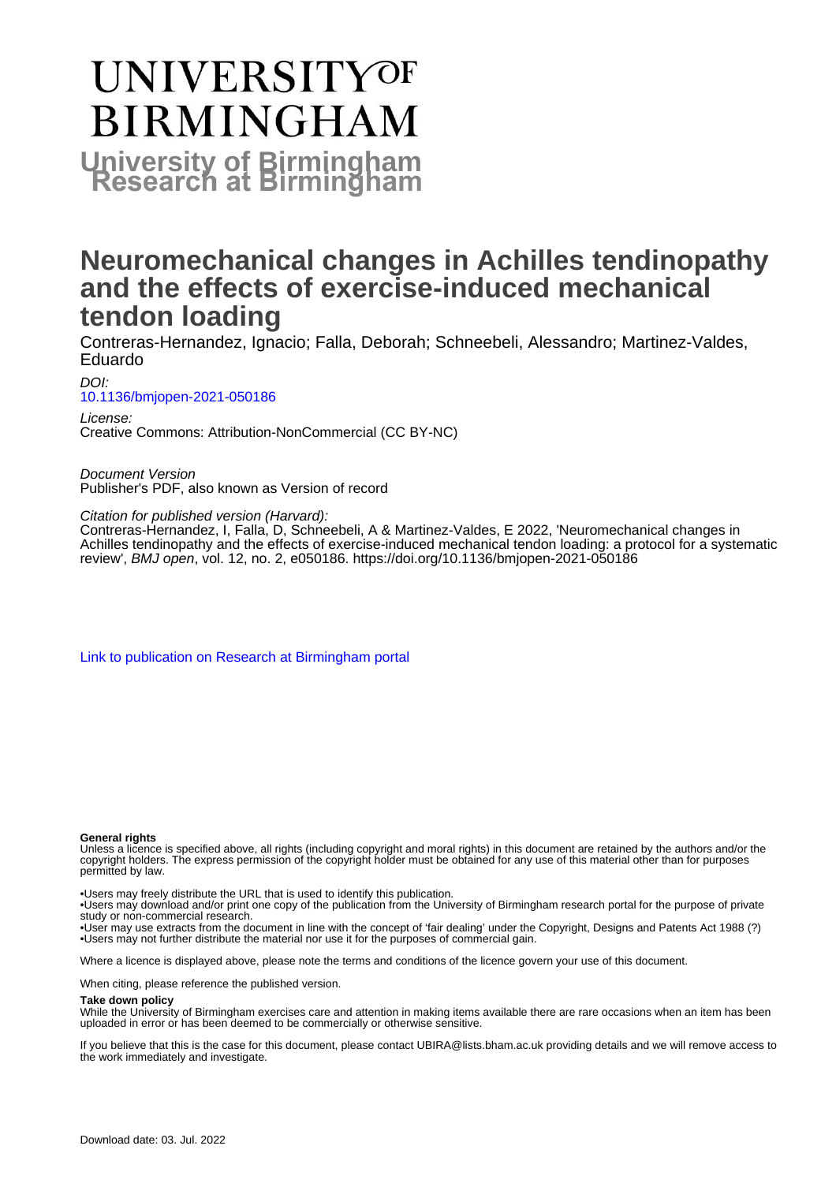# **UNIVERSITYOF BIRMINGHAM University of Birmingham**

# **Neuromechanical changes in Achilles tendinopathy and the effects of exercise-induced mechanical tendon loading**

Contreras-Hernandez, Ignacio; Falla, Deborah; Schneebeli, Alessandro; Martinez-Valdes, Eduardo

DOI: [10.1136/bmjopen-2021-050186](https://doi.org/10.1136/bmjopen-2021-050186)

License: Creative Commons: Attribution-NonCommercial (CC BY-NC)

Document Version Publisher's PDF, also known as Version of record

Citation for published version (Harvard):

Contreras-Hernandez, I, Falla, D, Schneebeli, A & Martinez-Valdes, E 2022, 'Neuromechanical changes in Achilles tendinopathy and the effects of exercise-induced mechanical tendon loading: a protocol for a systematic review', BMJ open, vol. 12, no. 2, e050186.<https://doi.org/10.1136/bmjopen-2021-050186>

[Link to publication on Research at Birmingham portal](https://birmingham.elsevierpure.com/en/publications/42f44ebf-bcd2-4555-a1ed-2e4204059be7)

#### **General rights**

Unless a licence is specified above, all rights (including copyright and moral rights) in this document are retained by the authors and/or the copyright holders. The express permission of the copyright holder must be obtained for any use of this material other than for purposes permitted by law.

• Users may freely distribute the URL that is used to identify this publication.

• Users may download and/or print one copy of the publication from the University of Birmingham research portal for the purpose of private study or non-commercial research.

• User may use extracts from the document in line with the concept of 'fair dealing' under the Copyright, Designs and Patents Act 1988 (?) • Users may not further distribute the material nor use it for the purposes of commercial gain.

Where a licence is displayed above, please note the terms and conditions of the licence govern your use of this document.

When citing, please reference the published version.

#### **Take down policy**

While the University of Birmingham exercises care and attention in making items available there are rare occasions when an item has been uploaded in error or has been deemed to be commercially or otherwise sensitive.

If you believe that this is the case for this document, please contact UBIRA@lists.bham.ac.uk providing details and we will remove access to the work immediately and investigate.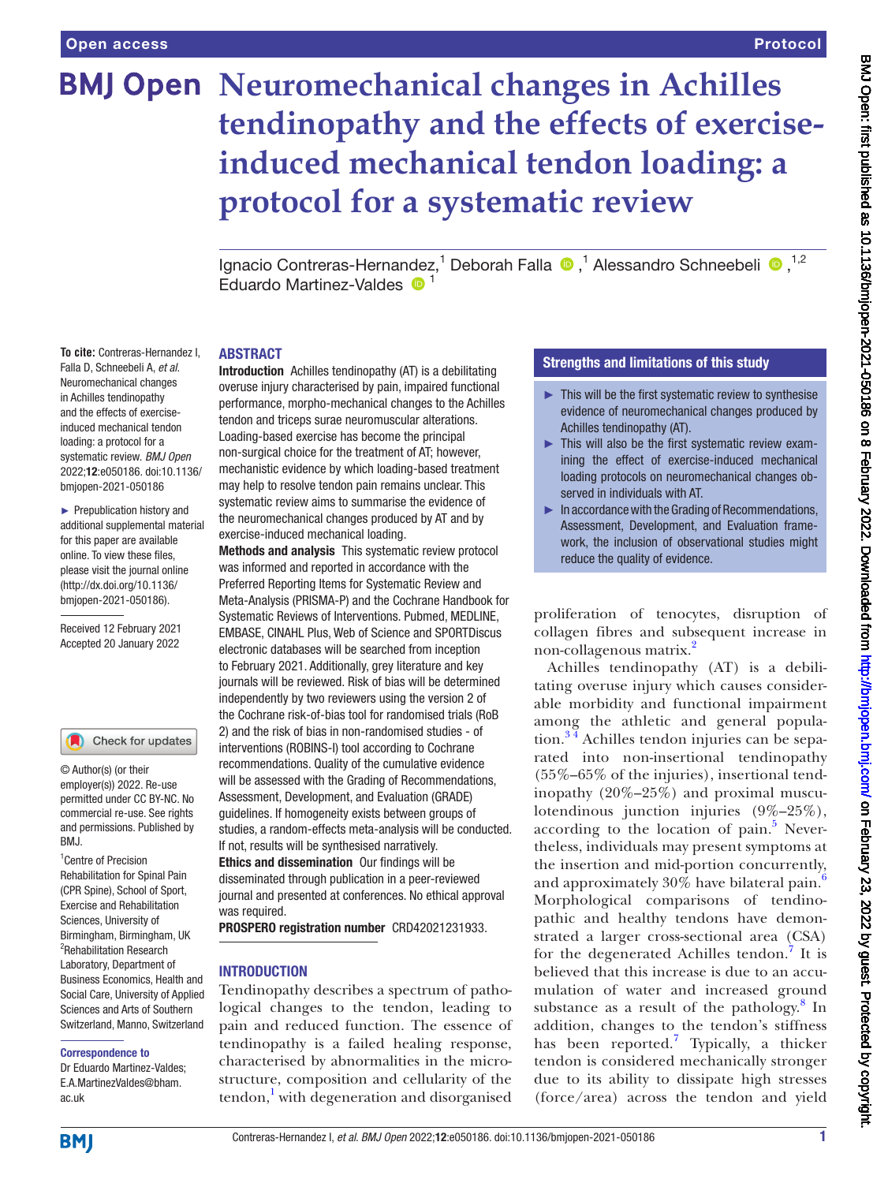**To cite:** Contreras-Hernandez I, Falla D, Schneebeli A, *et al*. Neuromechanical changes in Achilles tendinopathy and the effects of exerciseinduced mechanical tendon loading: a protocol for a systematic review. *BMJ Open* 2022;12:e050186. doi:10.1136/ bmjopen-2021-050186 ► Prepublication history and additional supplemental material for this paper are available online. To view these files, please visit the journal online [\(http://dx.doi.org/10.1136/](http://dx.doi.org/10.1136/bmjopen-2021-050186) [bmjopen-2021-050186](http://dx.doi.org/10.1136/bmjopen-2021-050186)). Received 12 February 2021 Accepted 20 January 2022

# **BMJ Open Neuromechanical changes in Achilles tendinopathy and the effects of exerciseinduced mechanical tendon loading: a protocol for a systematic review**

IgnacioContreras-Hernandez,<sup>1</sup> Deborah Falla <sup>®</sup>,<sup>1</sup> Alessandro Schneebeli <sup>®</sup>,<sup>1,2</sup>  $E$ duardo Martinez-Valdes  $\bullet$ <sup>1</sup>

#### ABSTRACT

Introduction Achilles tendinopathy (AT) is a debilitating overuse injury characterised by pain, impaired functional performance, morpho-mechanical changes to the Achilles tendon and triceps surae neuromuscular alterations. Loading-based exercise has become the principal non-surgical choice for the treatment of AT; however, mechanistic evidence by which loading-based treatment may help to resolve tendon pain remains unclear. This systematic review aims to summarise the evidence of the neuromechanical changes produced by AT and by exercise-induced mechanical loading.

Methods and analysis This systematic review protocol was informed and reported in accordance with the Preferred Reporting Items for Systematic Review and Meta-Analysis (PRISMA-P) and the Cochrane Handbook for Systematic Reviews of Interventions. Pubmed, MEDLINE, EMBASE, CINAHL Plus, Web of Science and SPORTDiscus electronic databases will be searched from inception to February 2021. Additionally, grey literature and key journals will be reviewed. Risk of bias will be determined independently by two reviewers using the version 2 of the Cochrane risk-of-bias tool for randomised trials (RoB 2) and the risk of bias in non-randomised studies - of interventions (ROBINS-I) tool according to Cochrane recommendations. Quality of the cumulative evidence will be assessed with the Grading of Recommendations, Assessment, Development, and Evaluation (GRADE) guidelines. If homogeneity exists between groups of studies, a random-effects meta-analysis will be conducted. If not, results will be synthesised narratively. Ethics and dissemination Our findings will be disseminated through publication in a peer-reviewed journal and presented at conferences. No ethical approval was required.

PROSPERO registration number CRD42021231933.

#### **INTRODUCTION**

Tendinopathy describes a spectrum of pathological changes to the tendon, leading to pain and reduced function. The essence of tendinopathy is a failed healing response, characterised by abnormalities in the microstructure, composition and cellularity of the tendon,<sup>1</sup> with degeneration and disorganised

### Strengths and limitations of this study

- ► This will be the first systematic review to synthesise evidence of neuromechanical changes produced by Achilles tendinopathy (AT).
- ► This will also be the first systematic review examining the effect of exercise-induced mechanical loading protocols on neuromechanical changes observed in individuals with AT.
- $\blacktriangleright$  In accordance with the Grading of Recommendations, Assessment, Development, and Evaluation framework, the inclusion of observational studies might reduce the quality of evidence.

proliferation of tenocytes, disruption of collagen fibres and subsequent increase in non-collagenous matrix.<sup>[2](#page-6-1)</sup>

Achilles tendinopathy (AT) is a debilitating overuse injury which causes considerable morbidity and functional impairment among the athletic and general popula- $\frac{34}{4}$  Achilles tendon injuries can be separated into non-insertional tendinopathy (55%–65% of the injuries), insertional tendinopathy (20%–25%) and proximal musculotendinous junction injuries (9%–25%), according to the location of pain.<sup>[5](#page-6-3)</sup> Nevertheless, individuals may present symptoms at the insertion and mid-portion concurrently, and approximately 30% have bilateral pain.<sup>[6](#page-6-4)</sup> Morphological comparisons of tendinopathic and healthy tendons have demonstrated a larger cross-sectional area (CSA) for the degenerated Achilles tendon.<sup>[7](#page-6-5)</sup> It is believed that this increase is due to an accumulation of water and increased ground substance as a result of the pathology. $8 \text{ In }$  $8 \text{ In }$ addition, changes to the tendon's stiffness has been reported.<sup>[7](#page-6-5)</sup> Typically, a thicker tendon is considered mechanically stronger due to its ability to dissipate high stresses (force/area) across the tendon and yield

**BMI** 

ac.uk

<sup>1</sup> Centre of Precision Rehabilitation for Spinal Pain (CPR Spine), School of Sport, Exercise and Rehabilitation Sciences, University of Birmingham, Birmingham, UK <sup>2</sup>Rehabilitation Research Laboratory, Department of Business Economics, Health and Social Care, University of Applied Sciences and Arts of Southern Switzerland, Manno, Switzerland

RM<sub>J</sub>

© Author(s) (or their employer(s)) 2022. Re-use permitted under CC BY-NC. No commercial re-use. See rights and permissions. Published by

Check for updates

Correspondence to Dr Eduardo Martinez-Valdes; E.A.MartinezValdes@bham.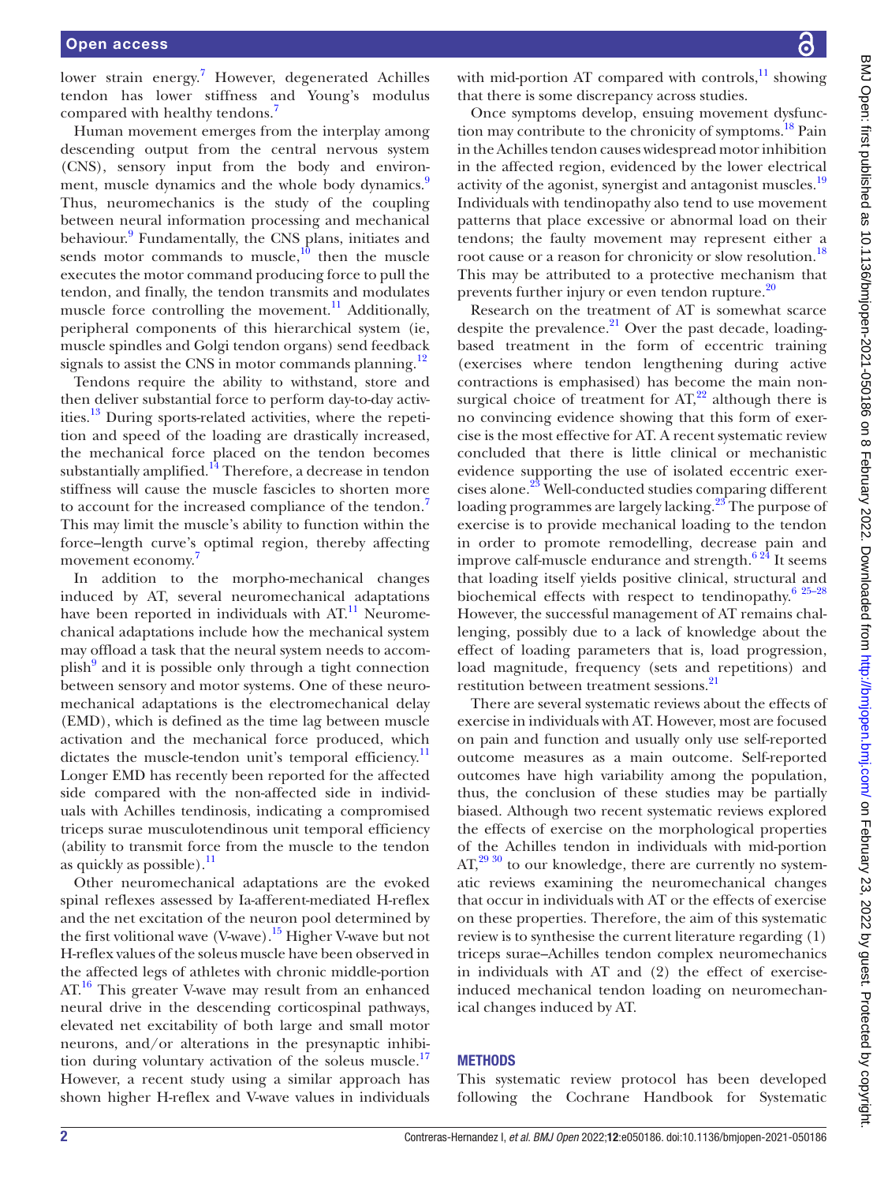lower strain energy.<sup>[7](#page-6-5)</sup> However, degenerated Achilles tendon has lower stiffness and Young's modulus compared with healthy tendons.<sup>[7](#page-6-5)</sup>

Human movement emerges from the interplay among descending output from the central nervous system (CNS), sensory input from the body and environ-ment, muscle dynamics and the whole body dynamics.<sup>[9](#page-6-7)</sup> Thus, neuromechanics is the study of the coupling between neural information processing and mechanical behaviour.<sup>[9](#page-6-7)</sup> Fundamentally, the CNS plans, initiates and sends motor commands to muscle, $10$  then the muscle executes the motor command producing force to pull the tendon, and finally, the tendon transmits and modulates muscle force controlling the movement. $^{11}$  Additionally, peripheral components of this hierarchical system (ie, muscle spindles and Golgi tendon organs) send feedback signals to assist the CNS in motor commands planning.<sup>[12](#page-6-10)</sup>

Tendons require the ability to withstand, store and then deliver substantial force to perform day-to-day activities.<sup>13</sup> During sports-related activities, where the repetition and speed of the loading are drastically increased, the mechanical force placed on the tendon becomes substantially amplified. $14$  Therefore, a decrease in tendon stiffness will cause the muscle fascicles to shorten more to account for the increased compliance of the tendon.<sup>[7](#page-6-5)</sup> This may limit the muscle's ability to function within the force–length curve's optimal region, thereby affecting movement economy.<sup>[7](#page-6-5)</sup>

In addition to the morpho-mechanical changes induced by AT, several neuromechanical adaptations have been reported in individuals with  $AT<sup>11</sup>$  $AT<sup>11</sup>$  $AT<sup>11</sup>$  Neuromechanical adaptations include how the mechanical system may offload a task that the neural system needs to accom-plish<sup>[9](#page-6-7)</sup> and it is possible only through a tight connection between sensory and motor systems. One of these neuromechanical adaptations is the electromechanical delay (EMD), which is defined as the time lag between muscle activation and the mechanical force produced, which dictates the muscle-tendon unit's temporal efficiency.<sup>11</sup> Longer EMD has recently been reported for the affected side compared with the non-affected side in individuals with Achilles tendinosis, indicating a compromised triceps surae musculotendinous unit temporal efficiency (ability to transmit force from the muscle to the tendon as quickly as possible). $\frac{11}{11}$  $\frac{11}{11}$  $\frac{11}{11}$ 

Other neuromechanical adaptations are the evoked spinal reflexes assessed by Ia-afferent-mediated H-reflex and the net excitation of the neuron pool determined by the first volitional wave  $(V$ -wave).<sup>15</sup> Higher V-wave but not H-reflex values of the soleus muscle have been observed in the affected legs of athletes with chronic middle-portion AT.<sup>16</sup> This greater V-wave may result from an enhanced neural drive in the descending corticospinal pathways, elevated net excitability of both large and small motor neurons, and/or alterations in the presynaptic inhibition during voluntary activation of the soleus muscle.<sup>17</sup> However, a recent study using a similar approach has shown higher H-reflex and V-wave values in individuals

with mid-portion AT compared with controls, $^{11}$  showing that there is some discrepancy across studies.

Once symptoms develop, ensuing movement dysfunction may contribute to the chronicity of symptoms.<sup>18</sup> Pain in the Achilles tendon causes widespread motor inhibition in the affected region, evidenced by the lower electrical activity of the agonist, synergist and antagonist muscles.<sup>[19](#page-7-4)</sup> Individuals with tendinopathy also tend to use movement patterns that place excessive or abnormal load on their tendons; the faulty movement may represent either a root cause or a reason for chronicity or slow resolution.<sup>[18](#page-7-3)</sup> This may be attributed to a protective mechanism that prevents further injury or even tendon rupture.<sup>[20](#page-7-5)</sup>

Research on the treatment of AT is somewhat scarce despite the prevalence. $^{21}$  Over the past decade, loadingbased treatment in the form of eccentric training (exercises where tendon lengthening during active contractions is emphasised) has become the main nonsurgical choice of treatment for  $AT<sub>1</sub><sup>22</sup>$  although there is no convincing evidence showing that this form of exercise is the most effective for AT. A recent systematic review concluded that there is little clinical or mechanistic evidence supporting the use of isolated eccentric exer-cises alone.<sup>[23](#page-7-8)</sup> Well-conducted studies comparing different loading programmes are largely lacking.<sup>23</sup> The purpose of exercise is to provide mechanical loading to the tendon in order to promote remodelling, decrease pain and improve calf-muscle endurance and strength.<sup>6 24</sup> It seems that loading itself yields positive clinical, structural and biochemical effects with respect to tendinopathy. $6^{25-28}$ However, the successful management of AT remains challenging, possibly due to a lack of knowledge about the effect of loading parameters that is, load progression, load magnitude, frequency (sets and repetitions) and restitution between treatment sessions[.21](#page-7-6)

There are several systematic reviews about the effects of exercise in individuals with AT. However, most are focused on pain and function and usually only use self-reported outcome measures as a main outcome. Self-reported outcomes have high variability among the population, thus, the conclusion of these studies may be partially biased. Although two recent systematic reviews explored the effects of exercise on the morphological properties of the Achilles tendon in individuals with mid-portion  $AT<sup>29 30</sup>$  to our knowledge, there are currently no systematic reviews examining the neuromechanical changes that occur in individuals with AT or the effects of exercise on these properties. Therefore, the aim of this systematic review is to synthesise the current literature regarding (1) triceps surae–Achilles tendon complex neuromechanics in individuals with AT and (2) the effect of exerciseinduced mechanical tendon loading on neuromechanical changes induced by AT.

#### **METHODS**

This systematic review protocol has been developed following the Cochrane Handbook for Systematic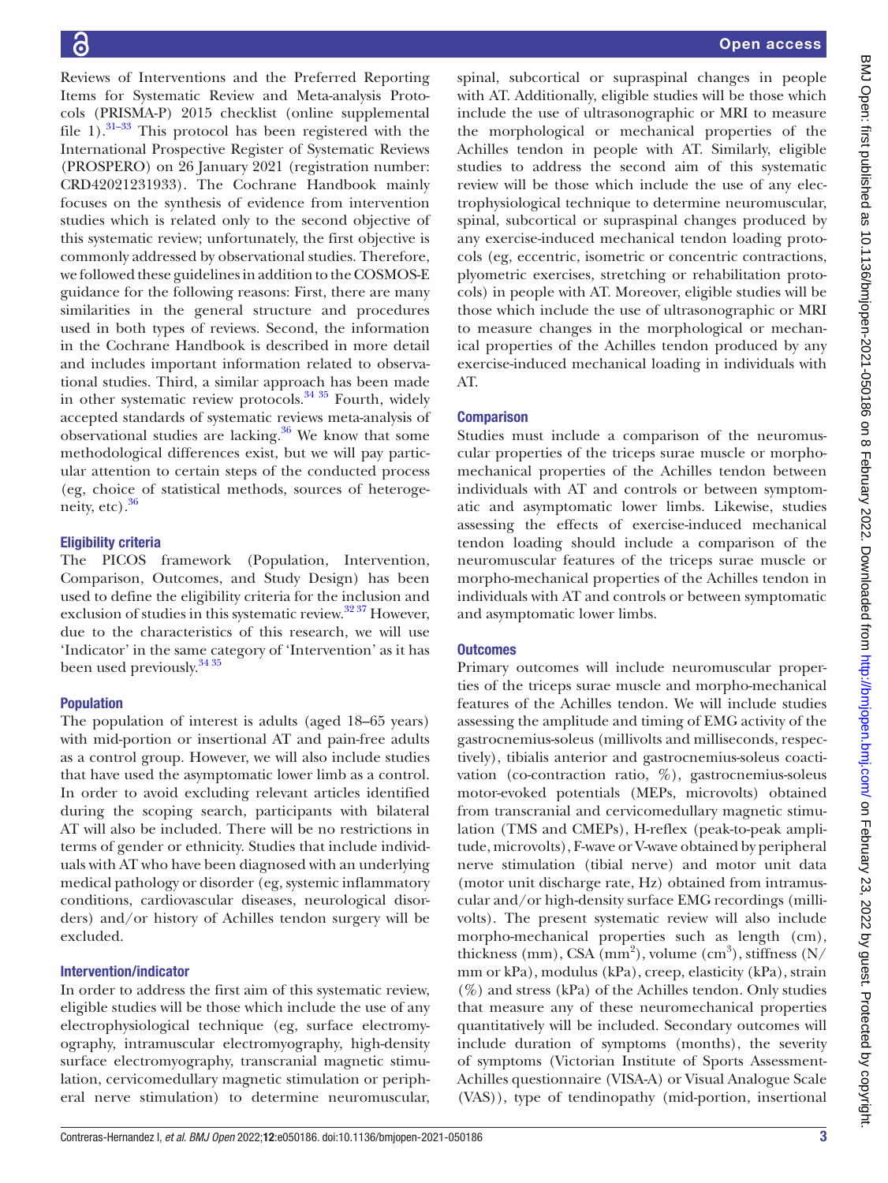Reviews of Interventions and the Preferred Reporting Items for Systematic Review and Meta-analysis Protocols (PRISMA-P) 2015 checklist ([online supplemental](https://dx.doi.org/10.1136/bmjopen-2021-050186) [file 1](https://dx.doi.org/10.1136/bmjopen-2021-050186)). $31-33$  This protocol has been registered with the International Prospective Register of Systematic Reviews (PROSPERO) on 26 January 2021 (registration number: CRD42021231933). The Cochrane Handbook mainly focuses on the synthesis of evidence from intervention studies which is related only to the second objective of this systematic review; unfortunately, the first objective is commonly addressed by observational studies. Therefore, we followed these guidelines in addition to the COSMOS-E guidance for the following reasons: First, there are many similarities in the general structure and procedures used in both types of reviews. Second, the information in the Cochrane Handbook is described in more detail and includes important information related to observational studies. Third, a similar approach has been made in other systematic review protocols.<sup>34 35</sup> Fourth, widely accepted standards of systematic reviews meta-analysis of observational studies are lacking. $36$  We know that some methodological differences exist, but we will pay particular attention to certain steps of the conducted process (eg, choice of statistical methods, sources of heterogeneity, etc). $36$ 

### Eligibility criteria

The PICOS framework (Population, Intervention, Comparison, Outcomes, and Study Design) has been used to define the eligibility criteria for the inclusion and exclusion of studies in this systematic review. $3237$  However, due to the characteristics of this research, we will use 'Indicator' in the same category of 'Intervention' as it has been used previously.<sup>[34 35](#page-7-11)</sup>

### Population

The population of interest is adults (aged 18–65 years) with mid-portion or insertional AT and pain-free adults as a control group. However, we will also include studies that have used the asymptomatic lower limb as a control. In order to avoid excluding relevant articles identified during the scoping search, participants with bilateral AT will also be included. There will be no restrictions in terms of gender or ethnicity. Studies that include individuals with AT who have been diagnosed with an underlying medical pathology or disorder (eg, systemic inflammatory conditions, cardiovascular diseases, neurological disorders) and/or history of Achilles tendon surgery will be excluded.

### Intervention/indicator

In order to address the first aim of this systematic review, eligible studies will be those which include the use of any electrophysiological technique (eg, surface electromyography, intramuscular electromyography, high-density surface electromyography, transcranial magnetic stimulation, cervicomedullary magnetic stimulation or peripheral nerve stimulation) to determine neuromuscular,

spinal, subcortical or supraspinal changes in people with AT. Additionally, eligible studies will be those which include the use of ultrasonographic or MRI to measure the morphological or mechanical properties of the Achilles tendon in people with AT. Similarly, eligible studies to address the second aim of this systematic review will be those which include the use of any electrophysiological technique to determine neuromuscular, spinal, subcortical or supraspinal changes produced by any exercise-induced mechanical tendon loading protocols (eg, eccentric, isometric or concentric contractions, plyometric exercises, stretching or rehabilitation protocols) in people with AT. Moreover, eligible studies will be those which include the use of ultrasonographic or MRI to measure changes in the morphological or mechanical properties of the Achilles tendon produced by any exercise-induced mechanical loading in individuals with AT.

### **Comparison**

Studies must include a comparison of the neuromuscular properties of the triceps surae muscle or morphomechanical properties of the Achilles tendon between individuals with AT and controls or between symptomatic and asymptomatic lower limbs. Likewise, studies assessing the effects of exercise-induced mechanical tendon loading should include a comparison of the neuromuscular features of the triceps surae muscle or morpho-mechanical properties of the Achilles tendon in individuals with AT and controls or between symptomatic and asymptomatic lower limbs.

### **Outcomes**

Primary outcomes will include neuromuscular properties of the triceps surae muscle and morpho-mechanical features of the Achilles tendon. We will include studies assessing the amplitude and timing of EMG activity of the gastrocnemius-soleus (millivolts and milliseconds, respectively), tibialis anterior and gastrocnemius-soleus coactivation (co-contraction ratio,  $\%$ ), gastrocnemius-soleus motor-evoked potentials (MEPs, microvolts) obtained from transcranial and cervicomedullary magnetic stimulation (TMS and CMEPs), H-reflex (peak-to-peak amplitude, microvolts), F-wave or V-wave obtained by peripheral nerve stimulation (tibial nerve) and motor unit data (motor unit discharge rate, Hz) obtained from intramuscular and/or high-density surface EMG recordings (millivolts). The present systematic review will also include morpho-mechanical properties such as length (cm), thickness (mm), CSA (mm<sup>2</sup>), volume (cm<sup>3</sup>), stiffness (N/ mm or kPa), modulus (kPa), creep, elasticity (kPa), strain  $(\%)$  and stress (kPa) of the Achilles tendon. Only studies that measure any of these neuromechanical properties quantitatively will be included. Secondary outcomes will include duration of symptoms (months), the severity of symptoms (Victorian Institute of Sports Assessment-Achilles questionnaire (VISA-A) or Visual Analogue Scale (VAS)), type of tendinopathy (mid-portion, insertional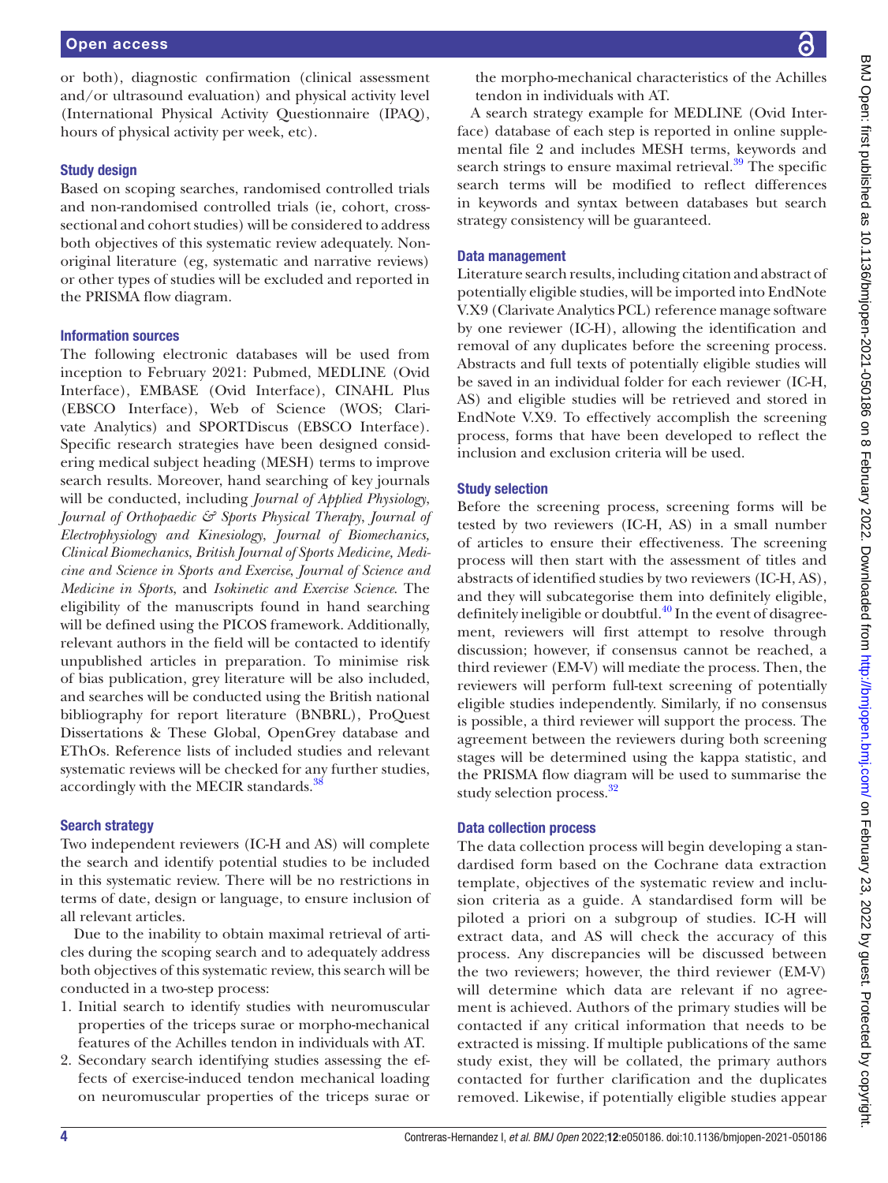or both), diagnostic confirmation (clinical assessment and/or ultrasound evaluation) and physical activity level (International Physical Activity Questionnaire (IPAQ), hours of physical activity per week, etc).

#### Study design

Based on scoping searches, randomised controlled trials and non-randomised controlled trials (ie, cohort, crosssectional and cohort studies) will be considered to address both objectives of this systematic review adequately. Nonoriginal literature (eg, systematic and narrative reviews) or other types of studies will be excluded and reported in the PRISMA flow diagram.

#### Information sources

The following electronic databases will be used from inception to February 2021: Pubmed, MEDLINE (Ovid Interface), EMBASE (Ovid Interface), CINAHL Plus (EBSCO Interface), Web of Science (WOS; Clarivate Analytics) and SPORTDiscus (EBSCO Interface). Specific research strategies have been designed considering medical subject heading (MESH) terms to improve search results. Moreover, hand searching of key journals will be conducted, including *Journal of Applied Physiology*, *Journal of Orthopaedic & Sports Physical Therapy*, *Journal of Electrophysiology and Kinesiology*, *Journal of Biomechanics, Clinical Biomechanics*, *British Journal of Sports Medicine, Medicine and Science in Sports and Exercise*, *Journal of Science and Medicine in Sports*, and *Isokinetic and Exercise Science*. The eligibility of the manuscripts found in hand searching will be defined using the PICOS framework. Additionally, relevant authors in the field will be contacted to identify unpublished articles in preparation. To minimise risk of bias publication, grey literature will be also included, and searches will be conducted using the British national bibliography for report literature (BNBRL), ProQuest Dissertations & These Global, OpenGrey database and EThOs. Reference lists of included studies and relevant systematic reviews will be checked for any further studies, accordingly with the MECIR standards.<sup>38</sup>

### Search strategy

Two independent reviewers (IC-H and AS) will complete the search and identify potential studies to be included in this systematic review. There will be no restrictions in terms of date, design or language, to ensure inclusion of all relevant articles.

Due to the inability to obtain maximal retrieval of articles during the scoping search and to adequately address both objectives of this systematic review, this search will be conducted in a two-step process:

- 1. Initial search to identify studies with neuromuscular properties of the triceps surae or morpho-mechanical features of the Achilles tendon in individuals with AT.
- 2. Secondary search identifying studies assessing the effects of exercise-induced tendon mechanical loading on neuromuscular properties of the triceps surae or

the morpho-mechanical characteristics of the Achilles tendon in individuals with AT.

A search strategy example for MEDLINE (Ovid Interface) database of each step is reported in [online supple](https://dx.doi.org/10.1136/bmjopen-2021-050186)[mental file 2](https://dx.doi.org/10.1136/bmjopen-2021-050186) and includes MESH terms, keywords and search strings to ensure maximal retrieval. $39$  The specific search terms will be modified to reflect differences in keywords and syntax between databases but search strategy consistency will be guaranteed.

#### Data management

Literature search results, including citation and abstract of potentially eligible studies, will be imported into EndNote V.X9 (Clarivate Analytics PCL) reference manage software by one reviewer (IC-H), allowing the identification and removal of any duplicates before the screening process. Abstracts and full texts of potentially eligible studies will be saved in an individual folder for each reviewer (IC-H, AS) and eligible studies will be retrieved and stored in EndNote V.X9. To effectively accomplish the screening process, forms that have been developed to reflect the inclusion and exclusion criteria will be used.

#### Study selection

Before the screening process, screening forms will be tested by two reviewers (IC-H, AS) in a small number of articles to ensure their effectiveness. The screening process will then start with the assessment of titles and abstracts of identified studies by two reviewers (IC-H, AS), and they will subcategorise them into definitely eligible, definitely ineligible or doubtful. $40$  In the event of disagreement, reviewers will first attempt to resolve through discussion; however, if consensus cannot be reached, a third reviewer (EM-V) will mediate the process. Then, the reviewers will perform full-text screening of potentially eligible studies independently. Similarly, if no consensus is possible, a third reviewer will support the process. The agreement between the reviewers during both screening stages will be determined using the kappa statistic, and the PRISMA flow diagram will be used to summarise the study selection process.<sup>32</sup>

#### Data collection process

The data collection process will begin developing a standardised form based on the Cochrane data extraction template, objectives of the systematic review and inclusion criteria as a guide. A standardised form will be piloted a priori on a subgroup of studies. IC-H will extract data, and AS will check the accuracy of this process. Any discrepancies will be discussed between the two reviewers; however, the third reviewer (EM-V) will determine which data are relevant if no agreement is achieved. Authors of the primary studies will be contacted if any critical information that needs to be extracted is missing. If multiple publications of the same study exist, they will be collated, the primary authors contacted for further clarification and the duplicates removed. Likewise, if potentially eligible studies appear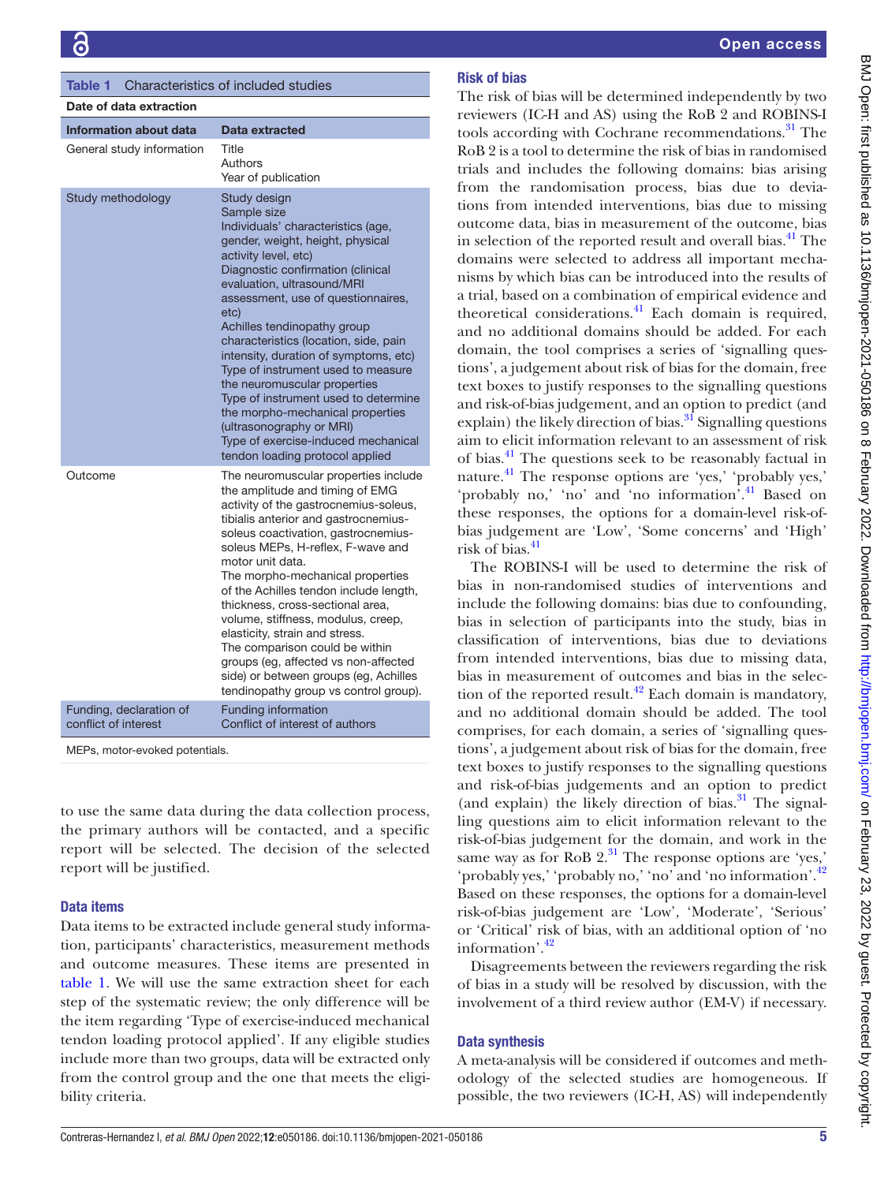<span id="page-5-0"></span>

| Characteristics of included studies<br><b>Table 1</b> |                                                                                                                                                                                                                                                                                                                                                                                                                                                                                                                                                                                                                         |  |  |  |  |  |  |
|-------------------------------------------------------|-------------------------------------------------------------------------------------------------------------------------------------------------------------------------------------------------------------------------------------------------------------------------------------------------------------------------------------------------------------------------------------------------------------------------------------------------------------------------------------------------------------------------------------------------------------------------------------------------------------------------|--|--|--|--|--|--|
| Date of data extraction                               |                                                                                                                                                                                                                                                                                                                                                                                                                                                                                                                                                                                                                         |  |  |  |  |  |  |
| Information about data                                | Data extracted                                                                                                                                                                                                                                                                                                                                                                                                                                                                                                                                                                                                          |  |  |  |  |  |  |
| General study information                             | Title<br>Authors<br>Year of publication                                                                                                                                                                                                                                                                                                                                                                                                                                                                                                                                                                                 |  |  |  |  |  |  |
| Study methodology                                     | Study design<br>Sample size<br>Individuals' characteristics (age,<br>gender, weight, height, physical<br>activity level, etc)<br>Diagnostic confirmation (clinical<br>evaluation, ultrasound/MRI<br>assessment, use of questionnaires,<br>etc)<br>Achilles tendinopathy group<br>characteristics (location, side, pain<br>intensity, duration of symptoms, etc)<br>Type of instrument used to measure<br>the neuromuscular properties<br>Type of instrument used to determine<br>the morpho-mechanical properties<br>(ultrasonography or MRI)<br>Type of exercise-induced mechanical<br>tendon loading protocol applied |  |  |  |  |  |  |
| Outcome                                               | The neuromuscular properties include<br>the amplitude and timing of EMG<br>activity of the gastrocnemius-soleus,<br>tibialis anterior and gastrocnemius-<br>soleus coactivation, gastrocnemius-<br>soleus MEPs, H-reflex, F-wave and<br>motor unit data.<br>The morpho-mechanical properties<br>of the Achilles tendon include length,<br>thickness, cross-sectional area,<br>volume, stiffness, modulus, creep,<br>elasticity, strain and stress.<br>The comparison could be within<br>groups (eg, affected vs non-affected<br>side) or between groups (eg, Achilles<br>tendinopathy group vs control group).          |  |  |  |  |  |  |
| Funding, declaration of<br>conflict of interest       | <b>Funding information</b><br>Conflict of interest of authors                                                                                                                                                                                                                                                                                                                                                                                                                                                                                                                                                           |  |  |  |  |  |  |

MEPs, motor-evoked potentials.

to use the same data during the data collection process, the primary authors will be contacted, and a specific report will be selected. The decision of the selected report will be justified.

#### Data items

Data items to be extracted include general study information, participants' characteristics, measurement methods and outcome measures. These items are presented in [table](#page-5-0) 1. We will use the same extraction sheet for each step of the systematic review; the only difference will be the item regarding 'Type of exercise-induced mechanical tendon loading protocol applied'. If any eligible studies include more than two groups, data will be extracted only from the control group and the one that meets the eligibility criteria.

## Risk of bias

The risk of bias will be determined independently by two reviewers (IC-H and AS) using the RoB 2 and ROBINS-I tools according with Cochrane recommendations.<sup>31</sup> The RoB 2 is a tool to determine the risk of bias in randomised trials and includes the following domains: bias arising from the randomisation process, bias due to deviations from intended interventions, bias due to missing outcome data, bias in measurement of the outcome, bias in selection of the reported result and overall bias.<sup>[41](#page-7-17)</sup> The domains were selected to address all important mechanisms by which bias can be introduced into the results of a trial, based on a combination of empirical evidence and theoretical considerations[.41](#page-7-17) Each domain is required, and no additional domains should be added. For each domain, the tool comprises a series of 'signalling questions', a judgement about risk of bias for the domain, free text boxes to justify responses to the signalling questions and risk-of-bias judgement, and an option to predict (and explain) the likely direction of bias. $31$  Signalling questions aim to elicit information relevant to an assessment of risk of bias.[41](#page-7-17) The questions seek to be reasonably factual in nature[.41](#page-7-17) The response options are 'yes,' 'probably yes,' 'probably no,' 'no' and 'no information'.[41](#page-7-17) Based on these responses, the options for a domain-level risk-ofbias judgement are 'Low', 'Some concerns' and 'High' risk of bias. $41$ 

The ROBINS-I will be used to determine the risk of bias in non-randomised studies of interventions and include the following domains: bias due to confounding, bias in selection of participants into the study, bias in classification of interventions, bias due to deviations from intended interventions, bias due to missing data, bias in measurement of outcomes and bias in the selection of the reported result.<sup>42</sup> Each domain is mandatory, and no additional domain should be added. The tool comprises, for each domain, a series of 'signalling questions', a judgement about risk of bias for the domain, free text boxes to justify responses to the signalling questions and risk-of-bias judgements and an option to predict (and explain) the likely direction of bias. $31$  The signalling questions aim to elicit information relevant to the risk-of-bias judgement for the domain, and work in the same way as for RoB  $2<sup>31</sup>$ . The response options are 'yes,' 'probably yes,' 'probably no,' 'no' and 'no information'.[42](#page-7-18) Based on these responses, the options for a domain-level risk-of-bias judgement are 'Low', 'Moderate', 'Serious' or 'Critical' risk of bias, with an additional option of 'no information'.<sup>[42](#page-7-18)</sup>

Disagreements between the reviewers regarding the risk of bias in a study will be resolved by discussion, with the involvement of a third review author (EM-V) if necessary.

### Data synthesis

A meta-analysis will be considered if outcomes and methodology of the selected studies are homogeneous. If possible, the two reviewers (IC-H, AS) will independently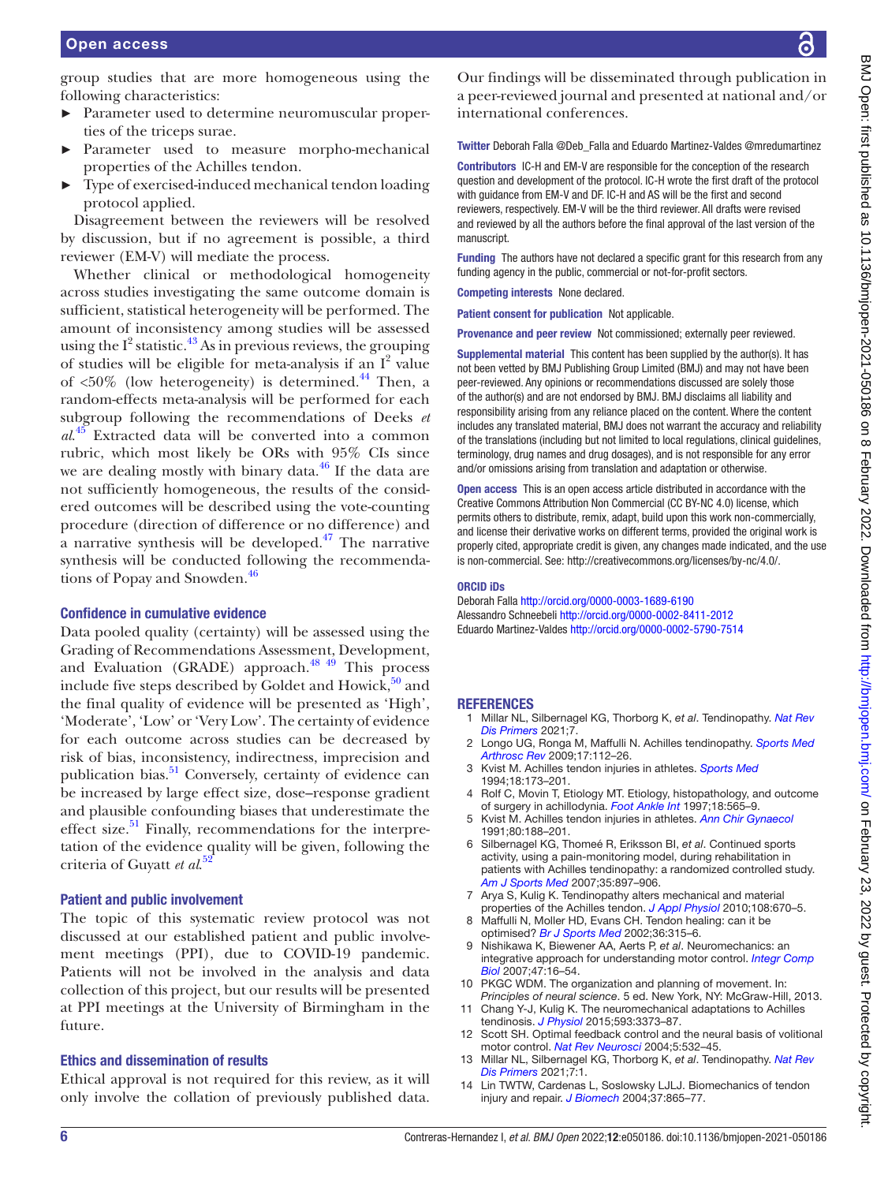group studies that are more homogeneous using the following characteristics:

- ► Parameter used to determine neuromuscular properties of the triceps surae.
- Parameter used to measure morpho-mechanical properties of the Achilles tendon.
- Type of exercised-induced mechanical tendon loading protocol applied.

Disagreement between the reviewers will be resolved by discussion, but if no agreement is possible, a third reviewer (EM-V) will mediate the process.

Whether clinical or methodological homogeneity across studies investigating the same outcome domain is sufficient, statistical heterogeneity will be performed. The amount of inconsistency among studies will be assessed using the  $I^2$  statistic.<sup>[43](#page-7-19)</sup> As in previous reviews, the grouping of studies will be eligible for meta-analysis if an  $I^2$  value of  $<50\%$  (low heterogeneity) is determined.<sup>44</sup> Then, a random-effects meta-analysis will be performed for each subgroup following the recommendations of Deeks *et al*. [45](#page-7-21) Extracted data will be converted into a common rubric, which most likely be ORs with 95% CIs since we are dealing mostly with binary data. $^{46}$  If the data are not sufficiently homogeneous, the results of the considered outcomes will be described using the vote-counting procedure (direction of difference or no difference) and a narrative synthesis will be developed. $47$  The narrative synthesis will be conducted following the recommendations of Popay and Snowden.<sup>46</sup>

#### Confidence in cumulative evidence

Data pooled quality (certainty) will be assessed using the Grading of Recommendations Assessment, Development, and Evaluation (GRADE) approach. $48\frac{49}{12}$  This process include five steps described by Goldet and Howick, $50$  and the final quality of evidence will be presented as 'High', 'Moderate', 'Low' or 'Very Low'. The certainty of evidence for each outcome across studies can be decreased by risk of bias, inconsistency, indirectness, imprecision and publication bias.<sup>51</sup> Conversely, certainty of evidence can be increased by large effect size, dose–response gradient and plausible confounding biases that underestimate the effect size. $51$  Finally, recommendations for the interpretation of the evidence quality will be given, following the criteria of Guyatt *et al*. [52](#page-7-27)

#### Patient and public involvement

The topic of this systematic review protocol was not discussed at our established patient and public involvement meetings (PPI), due to COVID-19 pandemic. Patients will not be involved in the analysis and data collection of this project, but our results will be presented at PPI meetings at the University of Birmingham in the future.

#### Ethics and dissemination of results

Ethical approval is not required for this review, as it will only involve the collation of previously published data.

Our findings will be disseminated through publication in a peer-reviewed journal and presented at national and/or international conferences.

Twitter Deborah Falla [@Deb\\_Falla](https://twitter.com/Deb_Falla) and Eduardo Martinez-Valdes [@mredumartinez](https://twitter.com/mredumartinez)

Contributors IC-H and EM-V are responsible for the conception of the research question and development of the protocol. IC-H wrote the first draft of the protocol with guidance from EM-V and DF. IC-H and AS will be the first and second reviewers, respectively. EM-V will be the third reviewer. All drafts were revised and reviewed by all the authors before the final approval of the last version of the manuscript.

Funding The authors have not declared a specific grant for this research from any funding agency in the public, commercial or not-for-profit sectors.

Competing interests None declared.

Patient consent for publication Not applicable.

Provenance and peer review Not commissioned; externally peer reviewed.

Supplemental material This content has been supplied by the author(s). It has not been vetted by BMJ Publishing Group Limited (BMJ) and may not have been peer-reviewed. Any opinions or recommendations discussed are solely those of the author(s) and are not endorsed by BMJ. BMJ disclaims all liability and responsibility arising from any reliance placed on the content. Where the content includes any translated material, BMJ does not warrant the accuracy and reliability of the translations (including but not limited to local regulations, clinical guidelines, terminology, drug names and drug dosages), and is not responsible for any error and/or omissions arising from translation and adaptation or otherwise.

Open access This is an open access article distributed in accordance with the Creative Commons Attribution Non Commercial (CC BY-NC 4.0) license, which permits others to distribute, remix, adapt, build upon this work non-commercially, and license their derivative works on different terms, provided the original work is properly cited, appropriate credit is given, any changes made indicated, and the use is non-commercial. See: [http://creativecommons.org/licenses/by-nc/4.0/.](http://creativecommons.org/licenses/by-nc/4.0/)

#### ORCID iDs

Deborah Falla<http://orcid.org/0000-0003-1689-6190> Alessandro Schneebeli <http://orcid.org/0000-0002-8411-2012> Eduardo Martinez-Valdes <http://orcid.org/0000-0002-5790-7514>

#### **REFERENCES**

- <span id="page-6-0"></span>1 Millar NL, Silbernagel KG, Thorborg K, *et al*. Tendinopathy. *[Nat Rev](http://dx.doi.org/10.1038/s41572-020-00234-1)  [Dis Primers](http://dx.doi.org/10.1038/s41572-020-00234-1)* 2021;7.
- <span id="page-6-1"></span>2 Longo UG, Ronga M, Maffulli N. Achilles tendinopathy. *[Sports Med](http://dx.doi.org/10.1097/JSA.0b013e3181a3d625)  [Arthrosc Rev](http://dx.doi.org/10.1097/JSA.0b013e3181a3d625)* 2009;17:112–26.
- <span id="page-6-2"></span>3 Kvist M. Achilles tendon injuries in athletes. *[Sports Med](http://dx.doi.org/10.2165/00007256-199418030-00004)* 1994;18:173–201.
- 4 Rolf C, Movin T, Etiology MT. Etiology, histopathology, and outcome of surgery in achillodynia. *[Foot Ankle Int](http://dx.doi.org/10.1177/107110079701800906)* 1997;18:565–9.
- <span id="page-6-3"></span>5 Kvist M. Achilles tendon injuries in athletes. *[Ann Chir Gynaecol](http://www.ncbi.nlm.nih.gov/pubmed/1897886)* 1991;80:188–201.
- <span id="page-6-4"></span>6 Silbernagel KG, Thomeé R, Eriksson BI, *et al*. Continued sports activity, using a pain-monitoring model, during rehabilitation in patients with Achilles tendinopathy: a randomized controlled study. *[Am J Sports Med](http://dx.doi.org/10.1177/0363546506298279)* 2007;35:897–906.
- <span id="page-6-5"></span>7 Arya S, Kulig K. Tendinopathy alters mechanical and material properties of the Achilles tendon. *[J Appl Physiol](http://dx.doi.org/10.1152/japplphysiol.00259.2009)* 2010;108:670–5.
- <span id="page-6-6"></span>Maffulli N, Moller HD, Evans CH. Tendon healing: can it be optimised? *[Br J Sports Med](http://dx.doi.org/10.1136/bjsm.36.5.315)* 2002;36:315–6.
- <span id="page-6-7"></span>9 Nishikawa K, Biewener AA, Aerts P, *et al*. Neuromechanics: an integrative approach for understanding motor control. *[Integr Comp](http://dx.doi.org/10.1093/icb/icm024)  [Biol](http://dx.doi.org/10.1093/icb/icm024)* 2007;47:16–54.
- <span id="page-6-8"></span>10 PKGC WDM. The organization and planning of movement. In: *Principles of neural science*. 5 ed. New York, NY: McGraw-Hill, 2013.
- <span id="page-6-9"></span>11 Chang Y-J, Kulig K. The neuromechanical adaptations to Achilles tendinosis. *[J Physiol](http://dx.doi.org/10.1113/JP270220)* 2015;593:3373–87.
- <span id="page-6-10"></span>12 Scott SH. Optimal feedback control and the neural basis of volitional motor control. *[Nat Rev Neurosci](http://dx.doi.org/10.1038/nrn1427)* 2004;5:532–45.
- <span id="page-6-11"></span>13 Millar NL, Silbernagel KG, Thorborg K, *et al*. Tendinopathy. *[Nat Rev](http://dx.doi.org/10.1038/s41572-020-00234-1)  [Dis Primers](http://dx.doi.org/10.1038/s41572-020-00234-1)* 2021;7:1.
- <span id="page-6-12"></span>14 Lin TWTW, Cardenas L, Soslowsky LJLJ. Biomechanics of tendon injury and repair. *[J Biomech](http://dx.doi.org/10.1016/j.jbiomech.2003.11.005)* 2004;37:865–77.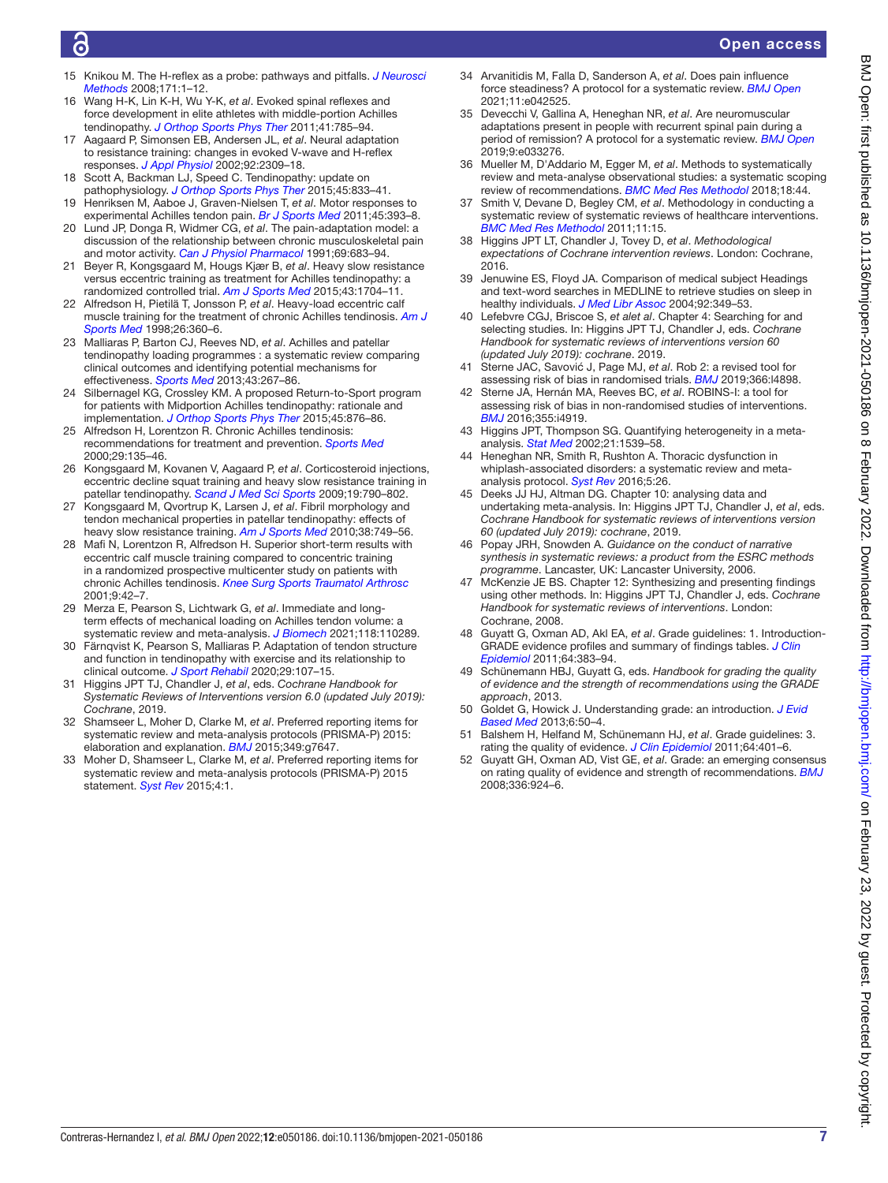- <span id="page-7-0"></span>15 Knikou M. The H-reflex as a probe: pathways and pitfalls. *[J Neurosci](http://dx.doi.org/10.1016/j.jneumeth.2008.02.012)  [Methods](http://dx.doi.org/10.1016/j.jneumeth.2008.02.012)* 2008;171:1–12.
- <span id="page-7-1"></span>16 Wang H-K, Lin K-H, Wu Y-K, *et al*. Evoked spinal reflexes and force development in elite athletes with middle-portion Achilles tendinopathy. *[J Orthop Sports Phys Ther](http://dx.doi.org/10.2519/jospt.2011.3564)* 2011;41:785–94.
- <span id="page-7-2"></span>17 Aagaard P, Simonsen EB, Andersen JL, *et al*. Neural adaptation to resistance training: changes in evoked V-wave and H-reflex responses. *[J Appl Physiol](http://dx.doi.org/10.1152/japplphysiol.01185.2001)* 2002;92:2309–18.
- <span id="page-7-3"></span>18 Scott A, Backman LJ, Speed C. Tendinopathy: update on pathophysiology. *[J Orthop Sports Phys Ther](http://dx.doi.org/10.2519/jospt.2015.5884)* 2015;45:833–41. 19 Henriksen M, Aaboe J, Graven-Nielsen T, *et al*. Motor responses to
- <span id="page-7-5"></span><span id="page-7-4"></span>experimental Achilles tendon pain. *[Br J Sports Med](http://dx.doi.org/10.1136/bjsm.2010.072561)* 2011;45:393–8. 20 Lund JP, Donga R, Widmer CG, *et al*. The pain-adaptation model: a discussion of the relationship between chronic musculoskeletal pain
- <span id="page-7-6"></span>and motor activity. *[Can J Physiol Pharmacol](http://dx.doi.org/10.1139/y91-102)* 1991;69:683–94. 21 Beyer R, Kongsgaard M, Hougs Kjær B, *et al*. Heavy slow resistance versus eccentric training as treatment for Achilles tendinopathy: a randomized controlled trial. *[Am J Sports Med](http://dx.doi.org/10.1177/0363546515584760)* 2015;43:1704–11.
- <span id="page-7-7"></span>22 Alfredson H, Pietilä T, Jonsson P, *et al*. Heavy-load eccentric calf muscle training for the treatment of chronic Achilles tendinosis. *[Am J](http://dx.doi.org/10.1177/03635465980260030301)  [Sports Med](http://dx.doi.org/10.1177/03635465980260030301)* 1998;26:360–6.
- <span id="page-7-8"></span>23 Malliaras P, Barton CJ, Reeves ND, *et al*. Achilles and patellar tendinopathy loading programmes : a systematic review comparing clinical outcomes and identifying potential mechanisms for effectiveness. *[Sports Med](http://dx.doi.org/10.1007/s40279-013-0019-z)* 2013;43:267–86.
- 24 Silbernagel KG, Crossley KM. A proposed Return-to-Sport program for patients with Midportion Achilles tendinopathy: rationale and implementation. *[J Orthop Sports Phys Ther](http://dx.doi.org/10.2519/jospt.2015.5885)* 2015;45:876–86.
- 25 Alfredson H, Lorentzon R. Chronic Achilles tendinosis: recommendations for treatment and prevention. *[Sports Med](http://dx.doi.org/10.2165/00007256-200029020-00005)* 2000;29:135–46.
- 26 Kongsgaard M, Kovanen V, Aagaard P, *et al*. Corticosteroid injections, eccentric decline squat training and heavy slow resistance training in patellar tendinopathy. *[Scand J Med Sci Sports](http://dx.doi.org/10.1111/j.1600-0838.2009.00949.x)* 2009;19:790–802.
- 27 Kongsgaard M, Qvortrup K, Larsen J, *et al*. Fibril morphology and tendon mechanical properties in patellar tendinopathy: effects of heavy slow resistance training. *[Am J Sports Med](http://dx.doi.org/10.1177/0363546509350915)* 2010;38:749–56.
- 28 Mafi N, Lorentzon R, Alfredson H. Superior short-term results with eccentric calf muscle training compared to concentric training in a randomized prospective multicenter study on patients with chronic Achilles tendinosis. *[Knee Surg Sports Traumatol Arthrosc](http://dx.doi.org/10.1007/s001670000148)* 2001;9:42–7.
- <span id="page-7-9"></span>29 Merza E, Pearson S, Lichtwark G, *et al*. Immediate and longterm effects of mechanical loading on Achilles tendon volume: a systematic review and meta-analysis. *[J Biomech](http://dx.doi.org/10.1016/j.jbiomech.2021.110289)* 2021;118:110289.
- 30 Färnqvist K, Pearson S, Malliaras P. Adaptation of tendon structure and function in tendinopathy with exercise and its relationship to clinical outcome. *[J Sport Rehabil](http://dx.doi.org/10.1123/jsr.2018-0353)* 2020;29:107–15.
- <span id="page-7-10"></span>31 Higgins JPT TJ, Chandler J, *et al*, eds. *Cochrane Handbook for Systematic Reviews of Interventions version 6.0 (updated July 2019): Cochrane*, 2019.
- <span id="page-7-13"></span>32 Shamseer L, Moher D, Clarke M, *et al*. Preferred reporting items for systematic review and meta-analysis protocols (PRISMA-P) 2015: elaboration and explanation. *[BMJ](http://dx.doi.org/10.1136/bmj.g7647)* 2015;349:g7647.
- 33 Moher D, Shamseer L, Clarke M, *et al*. Preferred reporting items for systematic review and meta-analysis protocols (PRISMA-P) 2015 statement. *[Syst Rev](http://dx.doi.org/10.1186/2046-4053-4-1)* 2015;4:1.
- <span id="page-7-11"></span>34 Arvanitidis M, Falla D, Sanderson A, *et al*. Does pain influence force steadiness? A protocol for a systematic review. *[BMJ Open](http://dx.doi.org/10.1136/bmjopen-2020-042525)* 2021;11:e042525.
- 35 Devecchi V, Gallina A, Heneghan NR, *et al*. Are neuromuscular adaptations present in people with recurrent spinal pain during a period of remission? A protocol for a systematic review. *[BMJ Open](http://dx.doi.org/10.1136/bmjopen-2019-033276)* 2019;9:e033276.
- <span id="page-7-12"></span>36 Mueller M, D'Addario M, Egger M, *et al*. Methods to systematically review and meta-analyse observational studies: a systematic scoping review of recommendations. *[BMC Med Res Methodol](http://dx.doi.org/10.1186/s12874-018-0495-9)* 2018;18:44.
- 37 Smith V, Devane D, Begley CM, *et al*. Methodology in conducting a systematic review of systematic reviews of healthcare interventions. *[BMC Med Res Methodol](http://dx.doi.org/10.1186/1471-2288-11-15)* 2011;11:15.
- <span id="page-7-14"></span>38 Higgins JPT LT, Chandler J, Tovey D, *et al*. *Methodological expectations of Cochrane intervention reviews*. London: Cochrane, 2016.
- <span id="page-7-15"></span>39 Jenuwine ES, Floyd JA. Comparison of medical subject Headings and text-word searches in MEDLINE to retrieve studies on sleep in healthy individuals. *[J Med Libr Assoc](http://www.ncbi.nlm.nih.gov/pubmed/15243641)* 2004;92:349–53.
- <span id="page-7-16"></span>40 Lefebvre CGJ, Briscoe S, *et alet al*. Chapter 4: Searching for and selecting studies. In: Higgins JPT TJ, Chandler J, eds. *Cochrane Handbook for systematic reviews of interventions version 60 (updated July 2019): cochrane*. 2019.
- <span id="page-7-17"></span>Sterne JAC, Savović J, Page MJ, *et al*. Rob 2: a revised tool for assessing risk of bias in randomised trials. *[BMJ](http://dx.doi.org/10.1136/bmj.l4898)* 2019;366:l4898.
- <span id="page-7-18"></span>42 Sterne JA, Hernán MA, Reeves BC, *et al*. ROBINS-I: a tool for assessing risk of bias in non-randomised studies of interventions. *[BMJ](http://dx.doi.org/10.1136/bmj.i4919)* 2016;355:i4919.
- <span id="page-7-19"></span>43 Higgins JPT, Thompson SG. Quantifying heterogeneity in a metaanalysis. *[Stat Med](http://dx.doi.org/10.1002/sim.1186)* 2002;21:1539–58.
- <span id="page-7-20"></span>Heneghan NR, Smith R, Rushton A. Thoracic dysfunction in whiplash-associated disorders: a systematic review and metaanalysis protocol. *[Syst Rev](http://dx.doi.org/10.1186/s13643-016-0201-0)* 2016;5:26.
- <span id="page-7-21"></span>45 Deeks JJ HJ, Altman DG. Chapter 10: analysing data and undertaking meta-analysis. In: Higgins JPT TJ, Chandler J, *et al*, eds. *Cochrane Handbook for systematic reviews of interventions version 60 (updated July 2019): cochrane*, 2019.
- <span id="page-7-22"></span>46 Popay JRH, Snowden A. *Guidance on the conduct of narrative synthesis in systematic reviews: a product from the ESRC methods programme*. Lancaster, UK: Lancaster University, 2006.
- <span id="page-7-23"></span>47 McKenzie JE BS. Chapter 12: Synthesizing and presenting findings using other methods. In: Higgins JPT TJ, Chandler J, eds. *Cochrane Handbook for systematic reviews of interventions*. London: Cochrane, 2008.
- <span id="page-7-24"></span>48 Guyatt G, Oxman AD, Akl EA, *et al*. Grade guidelines: 1. Introduction-GRADE evidence profiles and summary of findings tables. *[J Clin](http://dx.doi.org/10.1016/j.jclinepi.2010.04.026)  [Epidemiol](http://dx.doi.org/10.1016/j.jclinepi.2010.04.026)* 2011;64:383–94.
- 49 Schünemann HBJ, Guyatt G, eds. *Handbook for grading the quality of evidence and the strength of recommendations using the GRADE approach*, 2013.
- <span id="page-7-25"></span>50 Goldet G, Howick J. Understanding grade: an introduction. *[J Evid](http://dx.doi.org/10.1111/jebm.12018)  [Based Med](http://dx.doi.org/10.1111/jebm.12018)* 2013;6:50–4.
- <span id="page-7-26"></span>51 Balshem H, Helfand M, Schünemann HJ, *et al*. Grade guidelines: 3. rating the quality of evidence. *[J Clin Epidemiol](http://dx.doi.org/10.1016/j.jclinepi.2010.07.015)* 2011;64:401–6.
- <span id="page-7-27"></span>52 Guyatt GH, Oxman AD, Vist GE, *et al*. Grade: an emerging consensus on rating quality of evidence and strength of recommendations. *[BMJ](http://dx.doi.org/10.1136/bmj.39489.470347.AD)* 2008;336:924–6.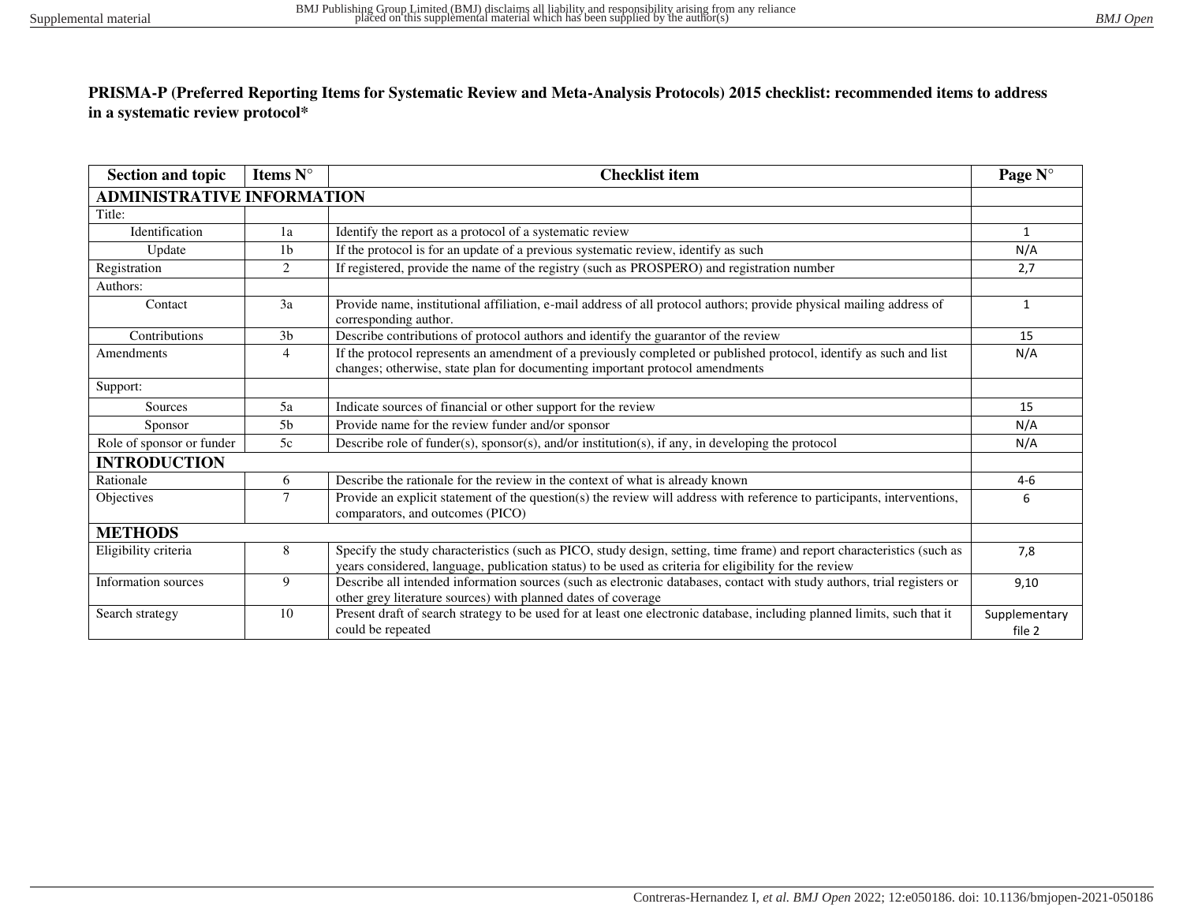## **PRISMA-P (Preferred Reporting Items for Systematic Review and Meta-Analysis Protocols) 2015 checklist: recommended items to address in a systematic review protocol\***

| <b>Section and topic</b>          | Items N°       | <b>Checklist item</b>                                                                                                                                                                                                            | Page N°                 |
|-----------------------------------|----------------|----------------------------------------------------------------------------------------------------------------------------------------------------------------------------------------------------------------------------------|-------------------------|
| <b>ADMINISTRATIVE INFORMATION</b> |                |                                                                                                                                                                                                                                  |                         |
| Title:                            |                |                                                                                                                                                                                                                                  |                         |
| Identification                    | 1a             | Identify the report as a protocol of a systematic review                                                                                                                                                                         | $\mathbf{1}$            |
| Update                            | 1 <sub>b</sub> | If the protocol is for an update of a previous systematic review, identify as such                                                                                                                                               | N/A                     |
| Registration                      | 2              | If registered, provide the name of the registry (such as PROSPERO) and registration number                                                                                                                                       | 2,7                     |
| Authors:                          |                |                                                                                                                                                                                                                                  |                         |
| Contact                           | 3a             | Provide name, institutional affiliation, e-mail address of all protocol authors; provide physical mailing address of<br>corresponding author.                                                                                    | 1                       |
| Contributions                     | 3 <sub>b</sub> | Describe contributions of protocol authors and identify the guarantor of the review                                                                                                                                              | 15                      |
| Amendments                        | $\overline{4}$ | If the protocol represents an amendment of a previously completed or published protocol, identify as such and list<br>changes; otherwise, state plan for documenting important protocol amendments                               | N/A                     |
| Support:                          |                |                                                                                                                                                                                                                                  |                         |
| Sources                           | 5a             | Indicate sources of financial or other support for the review                                                                                                                                                                    | 15                      |
| Sponsor                           | 5 <sub>b</sub> | Provide name for the review funder and/or sponsor                                                                                                                                                                                | N/A                     |
| Role of sponsor or funder         | 5c             | Describe role of funder(s), sponsor(s), and/or institution(s), if any, in developing the protocol                                                                                                                                | N/A                     |
| <b>INTRODUCTION</b>               |                |                                                                                                                                                                                                                                  |                         |
| Rationale                         | 6              | Describe the rationale for the review in the context of what is already known                                                                                                                                                    | $4-6$                   |
| Objectives                        | $\tau$         | Provide an explicit statement of the question(s) the review will address with reference to participants, interventions,<br>comparators, and outcomes (PICO)                                                                      | 6                       |
| <b>METHODS</b>                    |                |                                                                                                                                                                                                                                  |                         |
| Eligibility criteria              | 8              | Specify the study characteristics (such as PICO, study design, setting, time frame) and report characteristics (such as<br>years considered, language, publication status) to be used as criteria for eligibility for the review | 7,8                     |
| Information sources               | 9              | Describe all intended information sources (such as electronic databases, contact with study authors, trial registers or<br>other grey literature sources) with planned dates of coverage                                         | 9,10                    |
| Search strategy                   | 10             | Present draft of search strategy to be used for at least one electronic database, including planned limits, such that it<br>could be repeated                                                                                    | Supplementary<br>file 2 |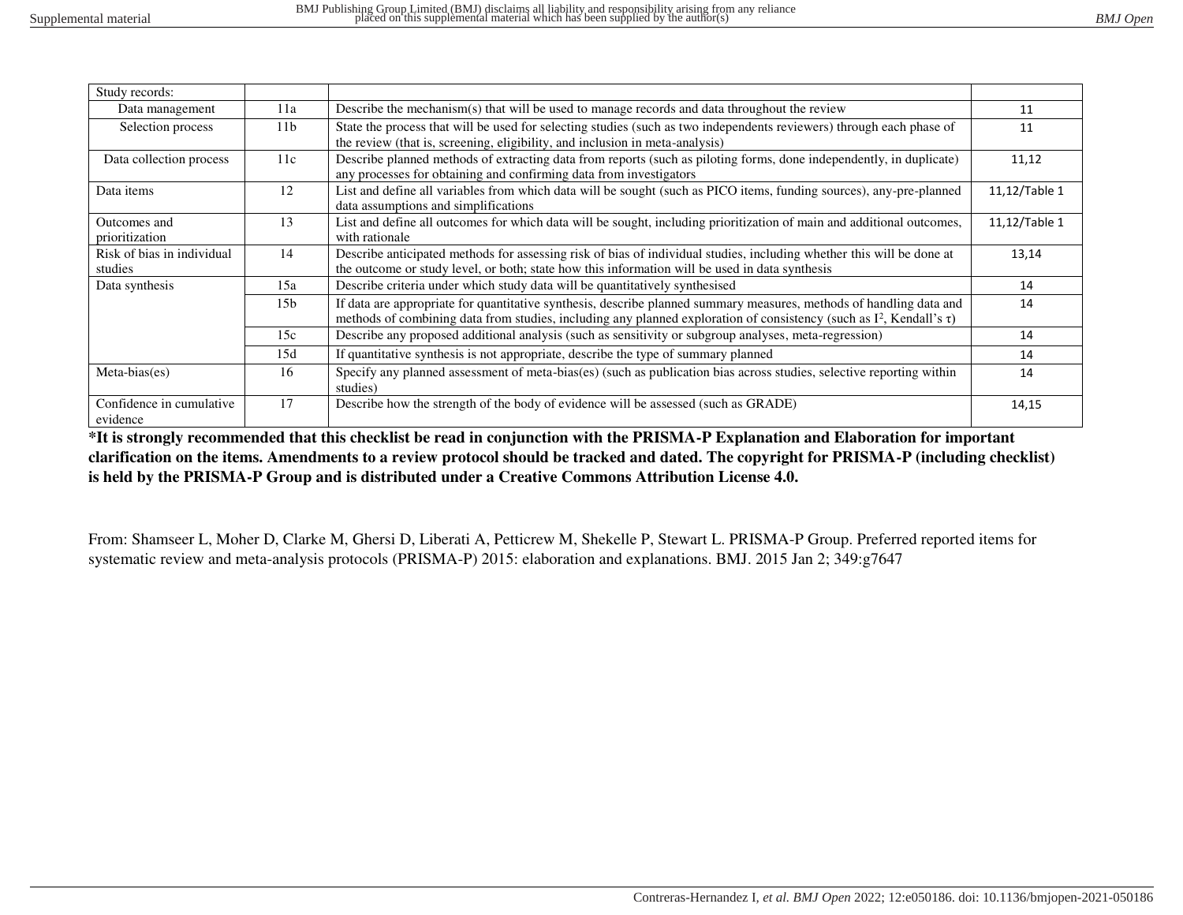| Study records:                        |                 |                                                                                                                                                                                                                                                              |               |
|---------------------------------------|-----------------|--------------------------------------------------------------------------------------------------------------------------------------------------------------------------------------------------------------------------------------------------------------|---------------|
| Data management                       | 11a             | Describe the mechanism(s) that will be used to manage records and data throughout the review                                                                                                                                                                 | 11            |
| Selection process                     | 11 <sub>b</sub> | State the process that will be used for selecting studies (such as two independents reviewers) through each phase of<br>the review (that is, screening, eligibility, and inclusion in meta-analysis)                                                         | 11            |
| Data collection process               | 11c             | Describe planned methods of extracting data from reports (such as piloting forms, done independently, in duplicate)<br>any processes for obtaining and confirming data from investigators                                                                    | 11,12         |
| Data items                            | 12              | List and define all variables from which data will be sought (such as PICO items, funding sources), any-pre-planned<br>data assumptions and simplifications                                                                                                  | 11,12/Table 1 |
| Outcomes and<br>prioritization        | 13              | List and define all outcomes for which data will be sought, including prioritization of main and additional outcomes,<br>with rationale                                                                                                                      | 11,12/Table 1 |
| Risk of bias in individual<br>studies | 14              | Describe anticipated methods for assessing risk of bias of individual studies, including whether this will be done at<br>the outcome or study level, or both; state how this information will be used in data synthesis                                      | 13,14         |
| Data synthesis                        | 15a             | Describe criteria under which study data will be quantitatively synthesised                                                                                                                                                                                  | 14            |
|                                       | 15 <sub>b</sub> | If data are appropriate for quantitative synthesis, describe planned summary measures, methods of handling data and<br>methods of combining data from studies, including any planned exploration of consistency (such as I <sup>2</sup> , Kendall's $\tau$ ) | 14            |
|                                       | 15c             | Describe any proposed additional analysis (such as sensitivity or subgroup analyses, meta-regression)                                                                                                                                                        | 14            |
|                                       | 15d             | If quantitative synthesis is not appropriate, describe the type of summary planned                                                                                                                                                                           | 14            |
| Meta-bias(es)                         | 16              | Specify any planned assessment of meta-bias(es) (such as publication bias across studies, selective reporting within<br>studies)                                                                                                                             | 14            |
| Confidence in cumulative<br>evidence  | 17              | Describe how the strength of the body of evidence will be assessed (such as GRADE)                                                                                                                                                                           | 14,15         |

**\*It is strongly recommended that this checklist be read in conjunction with the PRISMA-P Explanation and Elaboration for important clarification on the items. Amendments to a review protocol should be tracked and dated. The copyright for PRISMA-P (including checklist) is held by the PRISMA-P Group and is distributed under a Creative Commons Attribution License 4.0.** 

From: Shamseer L, Moher D, Clarke M, Ghersi D, Liberati A, Petticrew M, Shekelle P, Stewart L. PRISMA-P Group. Preferred reported items for systematic review and meta-analysis protocols (PRISMA-P) 2015: elaboration and explanations. BMJ. 2015 Jan 2; 349:g7647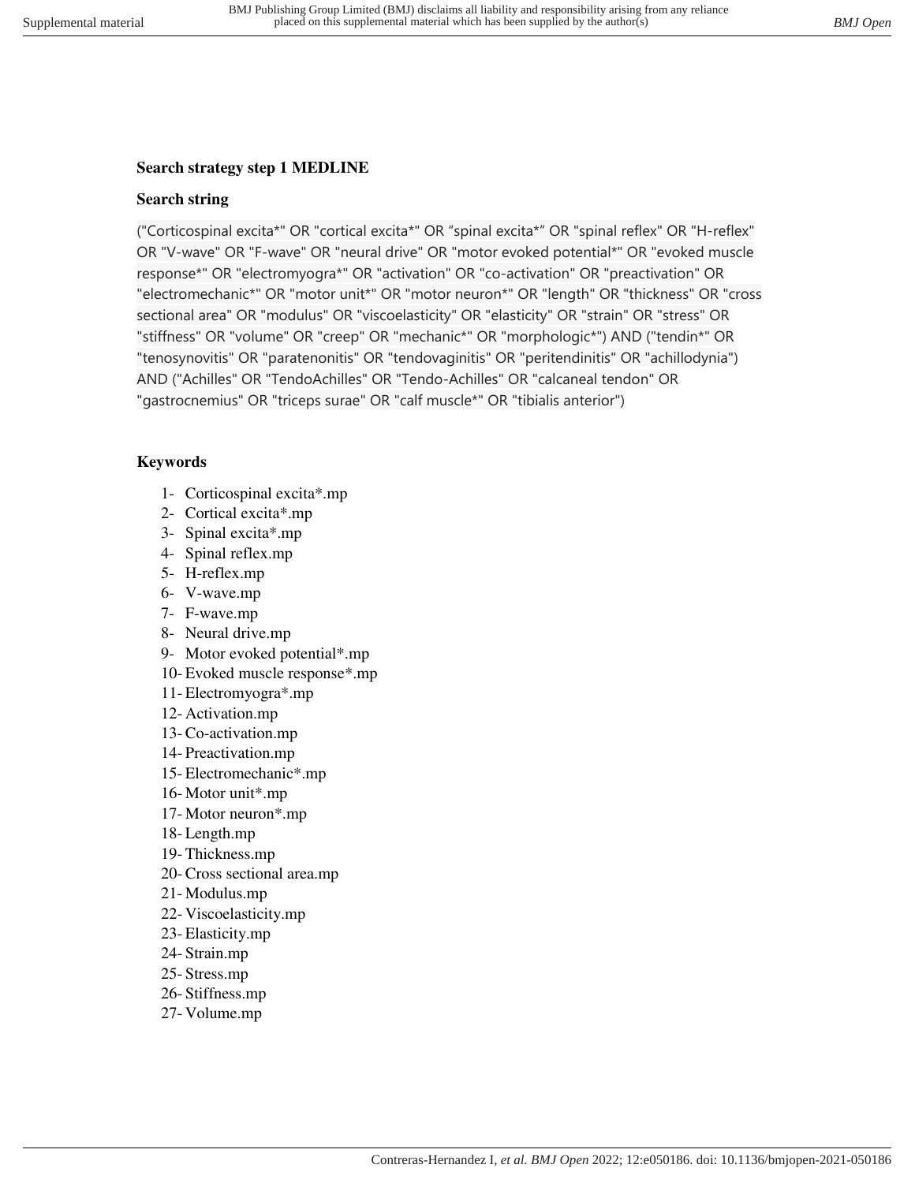# **Search strategy step 1 MEDLINE**

# **Search string**

("Corticospinal excita\*" OR "cortical excita\*" OR "spinal excita\*" OR "spinal reflex" OR "H-reflex" OR "V-wave" OR "F-wave" OR "neural drive" OR "motor evoked potential\*" OR "evoked muscle response\*" OR "electromyogra\*" OR "activation" OR "co-activation" OR "preactivation" OR "electromechanic\*" OR "motor unit\*" OR "motor neuron\*" OR "length" OR "thickness" OR "cross sectional area" OR "modulus" OR "viscoelasticity" OR "elasticity" OR "strain" OR "stress" OR "stiffness" OR "volume" OR "creep" OR "mechanic\*" OR "morphologic\*") AND ("tendin\*" OR "tenosynovitis" OR "paratenonitis" OR "tendovaginitis" OR "peritendinitis" OR "achillodynia") AND ("Achilles" OR "TendoAchilles" OR "Tendo-Achilles" OR "calcaneal tendon" OR "gastrocnemius" OR "triceps surae" OR "calf muscle\*" OR "tibialis anterior")

# **Keywords**

- 1- Corticospinal excita\*.mp
- 2- Cortical excita\*.mp
- 3- Spinal excita\*.mp
- 4- Spinal reflex.mp
- 5- H-reflex.mp
- 6- V-wave.mp
- 7- F-wave.mp
- 8- Neural drive.mp
- 9- Motor evoked potential\*.mp
- 10- Evoked muscle response\*.mp
- 11- Electromyogra\*.mp
- 12- Activation.mp
- 13- Co-activation.mp
- 14- Preactivation.mp
- 15- Electromechanic\*.mp
- 16- Motor unit\*.mp
- 17- Motor neuron\*.mp
- 18- Length.mp
- 19- Thickness.mp
- 20- Cross sectional area.mp
- 21- Modulus.mp
- 22- Viscoelasticity.mp
- 23- Elasticity.mp
- 24- Strain.mp
- 25- Stress.mp
- 26- Stiffness.mp
- 27- Volume.mp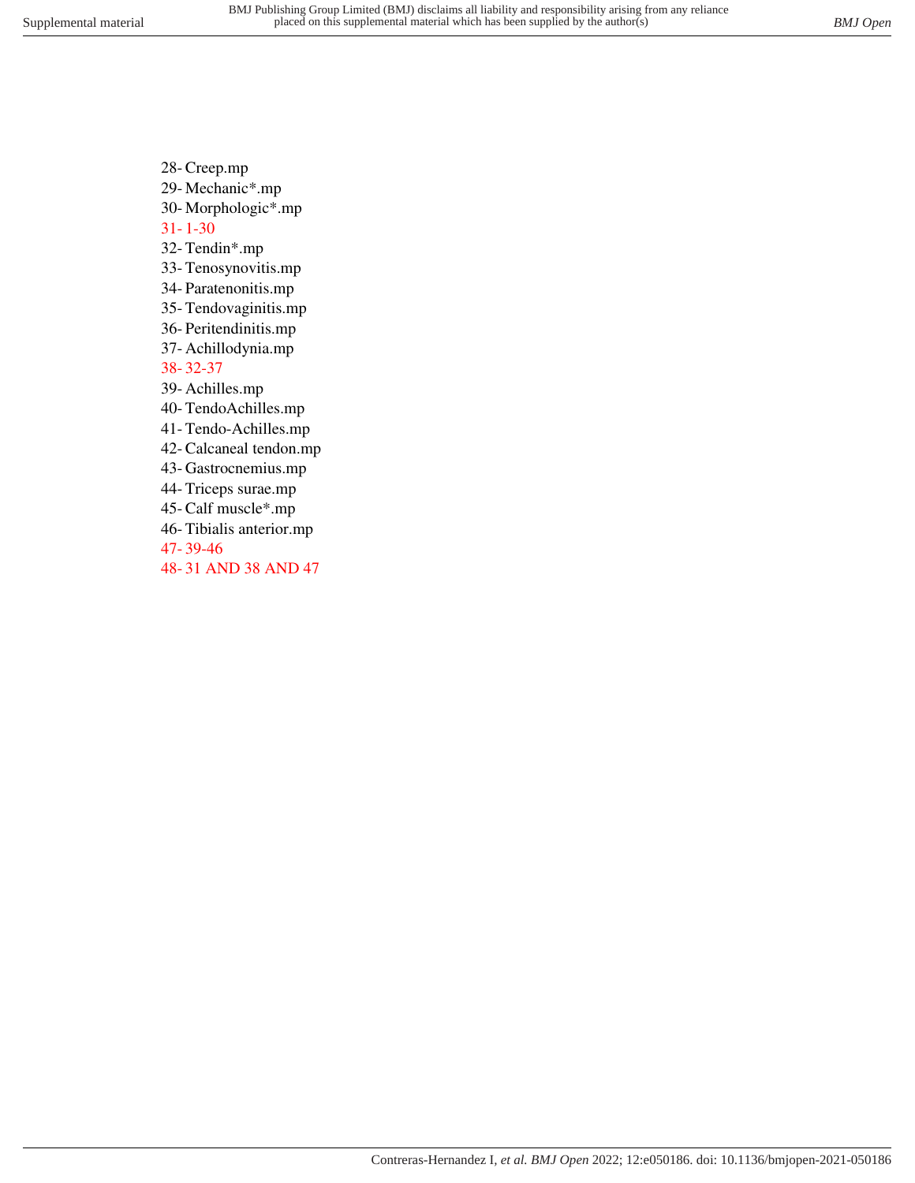- 28- Creep.mp
- 29- Mechanic\*.mp
- 30- Morphologic\*.mp

31- 1-30

- 32- Tendin\*.mp
- 33- Tenosynovitis.mp
- 34- Paratenonitis.mp
- 35- Tendovaginitis.mp
- 36- Peritendinitis.mp
- 37- Achillodynia.mp
- 38- 32-37
- 39- Achilles.mp
- 40- TendoAchilles.mp
- 41- Tendo-Achilles.mp
- 42- Calcaneal tendon.mp
- 43- Gastrocnemius.mp
- 44- Triceps surae.mp
- 45- Calf muscle\*.mp
- 46- Tibialis anterior.mp
- 47- 39-46
- 48- 31 AND 38 AND 47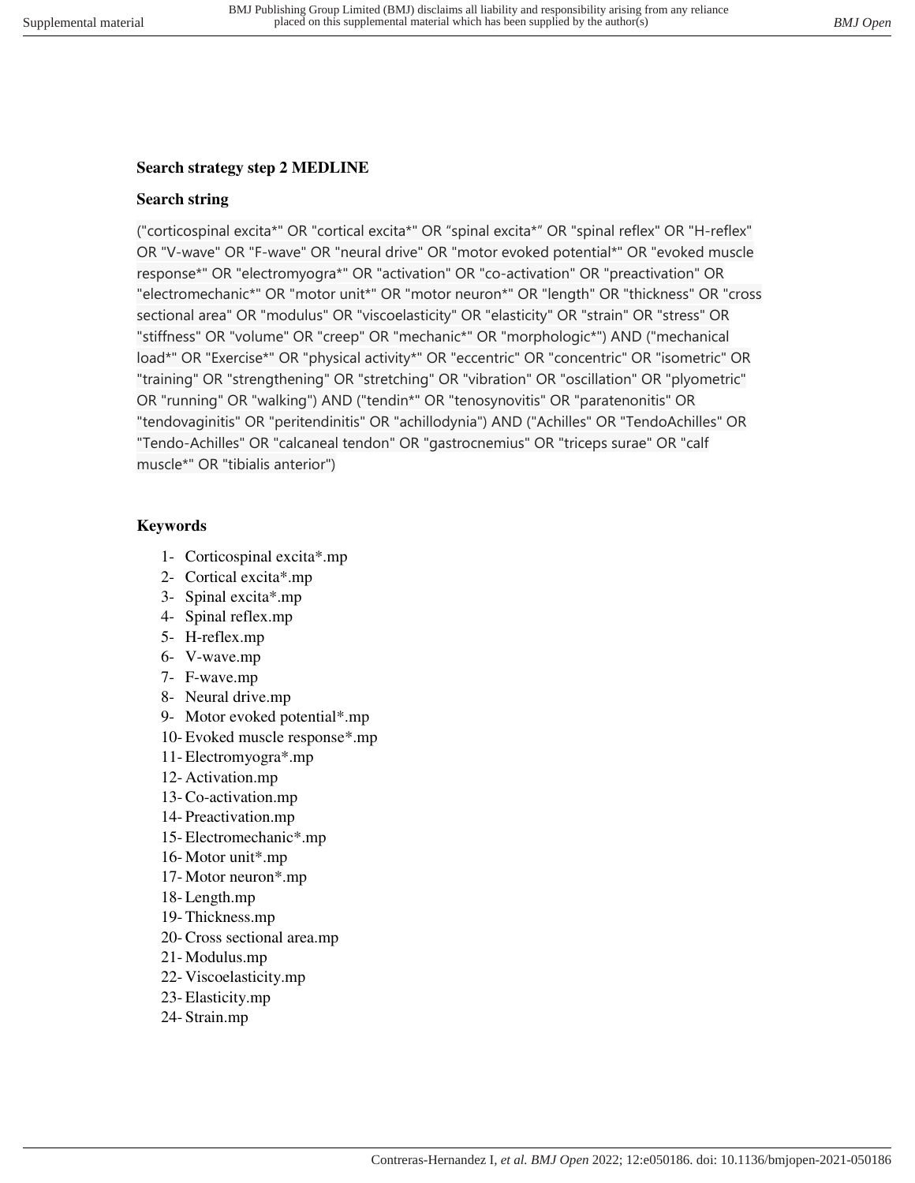# **Search strategy step 2 MEDLINE**

# **Search string**

("corticospinal excita\*" OR "cortical excita\*" OR "spinal excita\*" OR "spinal reflex" OR "H-reflex" OR "V-wave" OR "F-wave" OR "neural drive" OR "motor evoked potential\*" OR "evoked muscle response\*" OR "electromyogra\*" OR "activation" OR "co-activation" OR "preactivation" OR "electromechanic\*" OR "motor unit\*" OR "motor neuron\*" OR "length" OR "thickness" OR "cross sectional area" OR "modulus" OR "viscoelasticity" OR "elasticity" OR "strain" OR "stress" OR "stiffness" OR "volume" OR "creep" OR "mechanic\*" OR "morphologic\*") AND ("mechanical load\*" OR "Exercise\*" OR "physical activity\*" OR "eccentric" OR "concentric" OR "isometric" OR "training" OR "strengthening" OR "stretching" OR "vibration" OR "oscillation" OR "plyometric" OR "running" OR "walking") AND ("tendin\*" OR "tenosynovitis" OR "paratenonitis" OR "tendovaginitis" OR "peritendinitis" OR "achillodynia") AND ("Achilles" OR "TendoAchilles" OR "Tendo-Achilles" OR "calcaneal tendon" OR "gastrocnemius" OR "triceps surae" OR "calf muscle\*" OR "tibialis anterior")

# **Keywords**

- 1- Corticospinal excita\*.mp
- 2- Cortical excita\*.mp
- 3- Spinal excita\*.mp
- 4- Spinal reflex.mp
- 5- H-reflex.mp
- 6- V-wave.mp
- 7- F-wave.mp
- 8- Neural drive.mp
- 9- Motor evoked potential\*.mp
- 10- Evoked muscle response\*.mp
- 11- Electromyogra\*.mp
- 12- Activation.mp
- 13- Co-activation.mp
- 14- Preactivation.mp
- 15- Electromechanic\*.mp
- 16- Motor unit\*.mp
- 17- Motor neuron\*.mp
- 18- Length.mp
- 19- Thickness.mp
- 20- Cross sectional area.mp
- 21- Modulus.mp
- 22- Viscoelasticity.mp
- 23- Elasticity.mp
- 24- Strain.mp